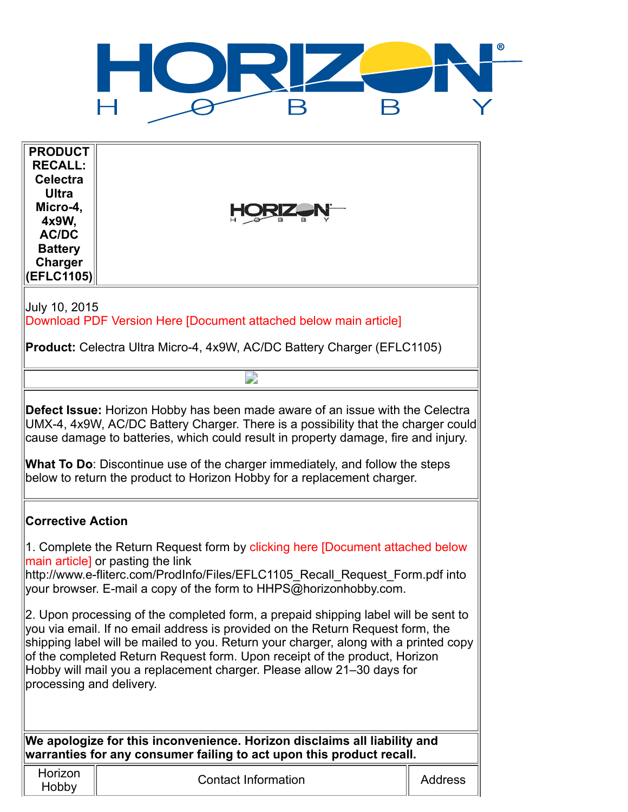

| <b>PRODUCT</b><br><b>RECALL:</b><br><b>Celectra</b><br><b>Ultra</b><br>Micro-4,<br>4x9W,<br><b>AC/DC</b><br><b>Battery</b><br><b>Charger</b><br>(EFLC1105)                                                                                                                                                                                                                                                                                                                                                                                                                                                                                                                                                                   |                            |                |  |
|------------------------------------------------------------------------------------------------------------------------------------------------------------------------------------------------------------------------------------------------------------------------------------------------------------------------------------------------------------------------------------------------------------------------------------------------------------------------------------------------------------------------------------------------------------------------------------------------------------------------------------------------------------------------------------------------------------------------------|----------------------------|----------------|--|
| July 10, 2015<br>Download PDF Version Here [Document attached below main article]                                                                                                                                                                                                                                                                                                                                                                                                                                                                                                                                                                                                                                            |                            |                |  |
| <b>Product:</b> Celectra Ultra Micro-4, 4x9W, AC/DC Battery Charger (EFLC1105)                                                                                                                                                                                                                                                                                                                                                                                                                                                                                                                                                                                                                                               |                            |                |  |
|                                                                                                                                                                                                                                                                                                                                                                                                                                                                                                                                                                                                                                                                                                                              |                            |                |  |
| <b>Defect Issue:</b> Horizon Hobby has been made aware of an issue with the Celectra<br>UMX-4, 4x9W, AC/DC Battery Charger. There is a possibility that the charger could<br>cause damage to batteries, which could result in property damage, fire and injury.<br>What To Do: Discontinue use of the charger immediately, and follow the steps<br>below to return the product to Horizon Hobby for a replacement charger.                                                                                                                                                                                                                                                                                                   |                            |                |  |
| <b>Corrective Action</b>                                                                                                                                                                                                                                                                                                                                                                                                                                                                                                                                                                                                                                                                                                     |                            |                |  |
| 1. Complete the Return Request form by clicking here [Document attached below<br>main article] or pasting the link<br>http://www.e-fliterc.com/ProdInfo/Files/EFLC1105_Recall_Request_Form.pdf into<br>your browser. E-mail a copy of the form to HHPS@horizonhobby.com.<br>2. Upon processing of the completed form, a prepaid shipping label will be sent to<br>you via email. If no email address is provided on the Return Request form, the<br>shipping label will be mailed to you. Return your charger, along with a printed copy<br>of the completed Return Request form. Upon receipt of the product, Horizon<br>Hobby will mail you a replacement charger. Please allow 21-30 days for<br>processing and delivery. |                            |                |  |
|                                                                                                                                                                                                                                                                                                                                                                                                                                                                                                                                                                                                                                                                                                                              |                            |                |  |
| We apologize for this inconvenience. Horizon disclaims all liability and<br>warranties for any consumer failing to act upon this product recall.                                                                                                                                                                                                                                                                                                                                                                                                                                                                                                                                                                             |                            |                |  |
| Horizon<br>Hobby                                                                                                                                                                                                                                                                                                                                                                                                                                                                                                                                                                                                                                                                                                             | <b>Contact Information</b> | <b>Address</b> |  |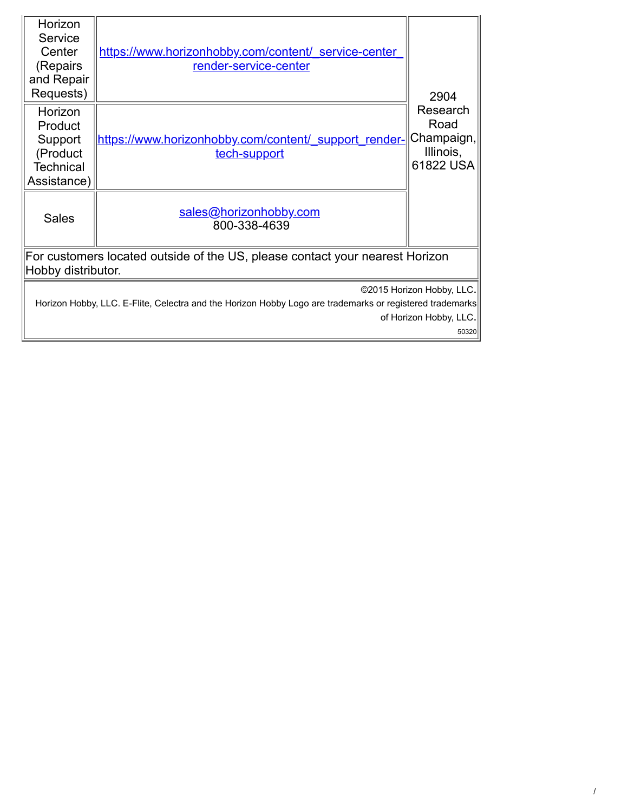| Horizon<br>Service<br>Center<br>(Repairs<br>and Repair<br>Requests)                                                                   | https://www.horizonhobby.com/content/ service-center<br>render-service-center | 2904<br>Research<br>Road<br>Champaign,<br>Illinois,<br>61822 USA |  |
|---------------------------------------------------------------------------------------------------------------------------------------|-------------------------------------------------------------------------------|------------------------------------------------------------------|--|
| Horizon<br>Product<br>Support<br>(Product<br><b>Technical</b><br>Assistance)                                                          | https://www.horizonhobby.com/content/ support render-<br>tech-support         |                                                                  |  |
| <b>Sales</b>                                                                                                                          | sales@horizonhobby.com<br>800-338-4639                                        |                                                                  |  |
| For customers located outside of the US, please contact your nearest Horizon<br>Hobby distributor.                                    |                                                                               |                                                                  |  |
| ©2015 Horizon Hobby, LLC.<br>Horizon Hobby, LLC. E-Flite, Celectra and the Horizon Hobby Logo are trademarks or registered trademarks |                                                                               |                                                                  |  |
| of Horizon Hobby, LLC.<br>50320                                                                                                       |                                                                               |                                                                  |  |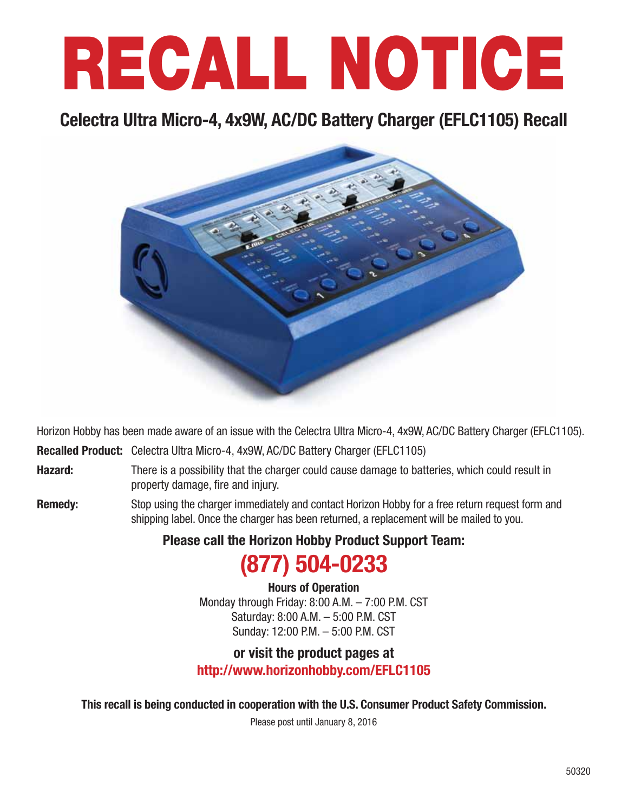# RECALL NOTICE

# Celectra Ultra Micro-4, 4x9W, AC/DC Battery Charger (EFLC1105) Recall



Horizon Hobby has been made aware of an issue with the Celectra Ultra Micro-4, 4x9W, AC/DC Battery Charger (EFLC1105).

Recalled Product: Celectra Ultra Micro-4, 4x9W, AC/DC Battery Charger (EFLC1105)

- **Hazard:** There is a possibility that the charger could cause damage to batteries, which could result in property damage, fire and injury.
- Remedy: Stop using the charger immediately and contact Horizon Hobby for a free return request form and shipping label. Once the charger has been returned, a replacement will be mailed to you.

Please call the Horizon Hobby Product Support Team:

# (877) 504-0233

Hours of Operation Monday through Friday: 8:00 A.M. – 7:00 P.M. CST Saturday: 8:00 A.M. – 5:00 P.M. CST Sunday: 12:00 P.M. – 5:00 P.M. CST

## or visit the product pages at http://www.horizonhobby.com/EFLC1105

This recall is being conducted in cooperation with the U.S. Consumer Product Safety Commission.

Please post until January 8, 2016